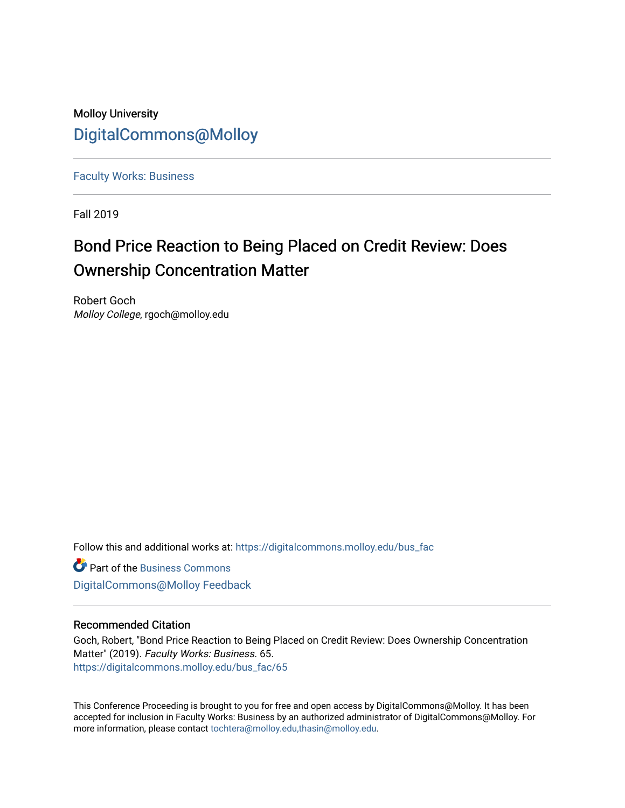# Molloy University [DigitalCommons@Molloy](https://digitalcommons.molloy.edu/)

[Faculty Works: Business](https://digitalcommons.molloy.edu/bus_fac) 

Fall 2019

# Bond Price Reaction to Being Placed on Credit Review: Does Ownership Concentration Matter

Robert Goch Molloy College, rgoch@molloy.edu

Follow this and additional works at: [https://digitalcommons.molloy.edu/bus\\_fac](https://digitalcommons.molloy.edu/bus_fac?utm_source=digitalcommons.molloy.edu%2Fbus_fac%2F65&utm_medium=PDF&utm_campaign=PDFCoverPages)

**C** Part of the [Business Commons](https://network.bepress.com/hgg/discipline/622?utm_source=digitalcommons.molloy.edu%2Fbus_fac%2F65&utm_medium=PDF&utm_campaign=PDFCoverPages) [DigitalCommons@Molloy Feedback](https://molloy.libwizard.com/f/dcfeedback)

# Recommended Citation

Goch, Robert, "Bond Price Reaction to Being Placed on Credit Review: Does Ownership Concentration Matter" (2019). Faculty Works: Business. 65. [https://digitalcommons.molloy.edu/bus\\_fac/65](https://digitalcommons.molloy.edu/bus_fac/65?utm_source=digitalcommons.molloy.edu%2Fbus_fac%2F65&utm_medium=PDF&utm_campaign=PDFCoverPages) 

This Conference Proceeding is brought to you for free and open access by DigitalCommons@Molloy. It has been accepted for inclusion in Faculty Works: Business by an authorized administrator of DigitalCommons@Molloy. For more information, please contact [tochtera@molloy.edu,thasin@molloy.edu.](mailto:tochtera@molloy.edu,thasin@molloy.edu)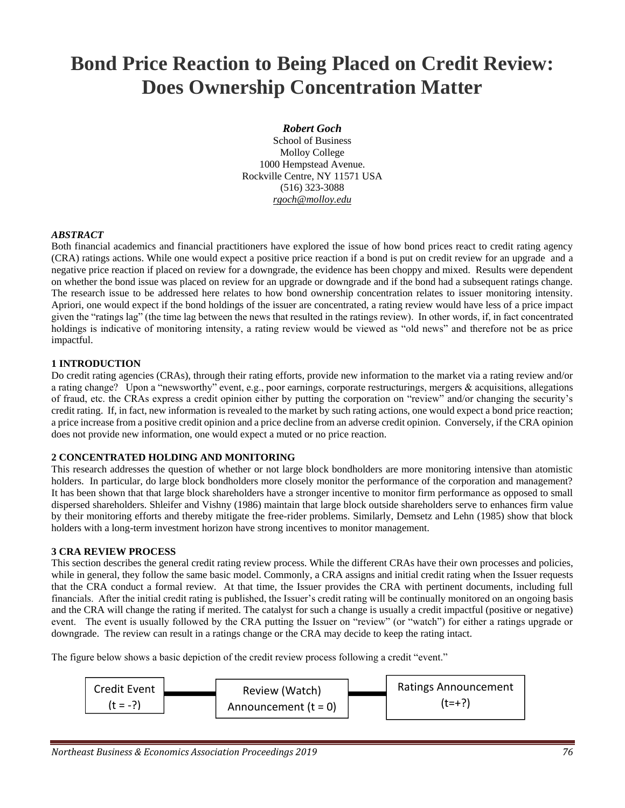# **Bond Price Reaction to Being Placed on Credit Review: Does Ownership Concentration Matter**

# *Robert Goch*

School of Business Molloy College 1000 Hempstead Avenue. Rockville Centre, NY 11571 USA (516) 323-3088 *rgoch@molloy.edu*

# *ABSTRACT*

Both financial academics and financial practitioners have explored the issue of how bond prices react to credit rating agency (CRA) ratings actions. While one would expect a positive price reaction if a bond is put on credit review for an upgrade and a negative price reaction if placed on review for a downgrade, the evidence has been choppy and mixed. Results were dependent on whether the bond issue was placed on review for an upgrade or downgrade and if the bond had a subsequent ratings change. The research issue to be addressed here relates to how bond ownership concentration relates to issuer monitoring intensity. Apriori, one would expect if the bond holdings of the issuer are concentrated, a rating review would have less of a price impact given the "ratings lag" (the time lag between the news that resulted in the ratings review). In other words, if, in fact concentrated holdings is indicative of monitoring intensity, a rating review would be viewed as "old news" and therefore not be as price impactful.

#### **1 INTRODUCTION**

Do credit rating agencies (CRAs), through their rating efforts, provide new information to the market via a rating review and/or a rating change? Upon a "newsworthy" event, e.g., poor earnings, corporate restructurings, mergers & acquisitions, allegations of fraud, etc. the CRAs express a credit opinion either by putting the corporation on "review" and/or changing the security's credit rating. If, in fact, new information is revealed to the market by such rating actions, one would expect a bond price reaction; a price increase from a positive credit opinion and a price decline from an adverse credit opinion. Conversely, if the CRA opinion does not provide new information, one would expect a muted or no price reaction.

# **2 CONCENTRATED HOLDING AND MONITORING**

This research addresses the question of whether or not large block bondholders are more monitoring intensive than atomistic holders. In particular, do large block bondholders more closely monitor the performance of the corporation and management? It has been shown that that large block shareholders have a stronger incentive to monitor firm performance as opposed to small dispersed shareholders. Shleifer and Vishny (1986) maintain that large block outside shareholders serve to enhances firm value by their monitoring efforts and thereby mitigate the free-rider problems. Similarly, Demsetz and Lehn (1985) show that block holders with a long-term investment horizon have strong incentives to monitor management.

#### **3 CRA REVIEW PROCESS**

This section describes the general credit rating review process. While the different CRAs have their own processes and policies, while in general, they follow the same basic model. Commonly, a CRA assigns and initial credit rating when the Issuer requests that the CRA conduct a formal review. At that time, the Issuer provides the CRA with pertinent documents, including full financials. After the initial credit rating is published, the Issuer's credit rating will be continually monitored on an ongoing basis and the CRA will change the rating if merited. The catalyst for such a change is usually a credit impactful (positive or negative) event. The event is usually followed by the CRA putting the Issuer on "review" (or "watch") for either a ratings upgrade or downgrade. The review can result in a ratings change or the CRA may decide to keep the rating intact.

The figure below shows a basic depiction of the credit review process following a credit "event."

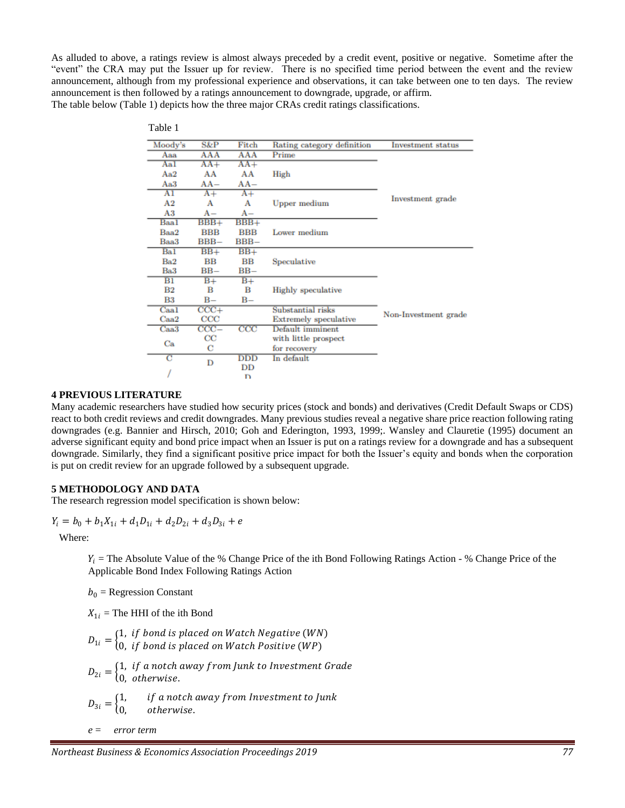As alluded to above, a ratings review is almost always preceded by a credit event, positive or negative. Sometime after the "event" the CRA may put the Issuer up for review. There is no specified time period between the event and the review announcement, although from my professional experience and observations, it can take between one to ten days. The review announcement is then followed by a ratings announcement to downgrade, upgrade, or affirm. The table below (Table 1) depicts how the three major CRAs credit ratings classifications.

| Table 1         |              |              |                            |                          |
|-----------------|--------------|--------------|----------------------------|--------------------------|
| Moody's         | S&P          | Fitch        | Rating category definition | <b>Investment</b> status |
| $A$ aa          | AAA          | AAA          | Prime                      | Investment grade         |
| Aal             | $AA+$        | $AA+$        |                            |                          |
| Aa2             | AA           | AA           | <b>High</b>                |                          |
| Aa3             | $AA-$        | $AA-$        |                            |                          |
| AI              | $A+$         | $A+$         | <b>Upper medium</b>        |                          |
| A <sub>2</sub>  | A            | Α            |                            |                          |
| A3              | A –          | A-           |                            |                          |
| Baal            | $BBB+$       | $BBB+$       | Lower medium               |                          |
| Baa2            | <b>BBB</b>   | <b>BBB</b>   |                            |                          |
| Baa3            | $BBB -$      | $BBB -$      |                            |                          |
| Bal             | $BB+$        | $BB+$        | Speculative                | Non-Investment grade     |
| Ba <sub>2</sub> | $_{\rm BB}$  | $_{\rm BB}$  |                            |                          |
| Ba3             | $BB-$        | $BB-$        |                            |                          |
| $_{\rm B1}$     | $B+$         | $B+$         | <b>Highly</b> speculative  |                          |
| $_{\rm B2}$     | в            | в            |                            |                          |
| $_{\rm B3}$     | B-           | $B -$        |                            |                          |
| Caal            | $CCC+$       |              | Substantial risks          |                          |
| $_{\rm Caa2}$   | $_{\rm CCC}$ |              | Extremely speculative      |                          |
| Caa3            | $CCC -$      | $_{\rm CCC}$ | Default imminent           |                          |
| Ca              | $_{\rm CC}$  |              | with little prospect       |                          |
|                 | С            |              | for recovery               |                          |
| С               | D            | DDD          | In default                 |                          |
|                 |              | DD           |                            |                          |
|                 |              | D            |                            |                          |

#### **4 PREVIOUS LITERATURE**

Many academic researchers have studied how security prices (stock and bonds) and derivatives (Credit Default Swaps or CDS) react to both credit reviews and credit downgrades. Many previous studies reveal a negative share price reaction following rating downgrades (e.g. Bannier and Hirsch, 2010; Goh and Ederington, 1993, 1999;. Wansley and Clauretie (1995) document an adverse significant equity and bond price impact when an Issuer is put on a ratings review for a downgrade and has a subsequent downgrade. Similarly, they find a significant positive price impact for both the Issuer's equity and bonds when the corporation is put on credit review for an upgrade followed by a subsequent upgrade.

#### **5 METHODOLOGY AND DATA**

The research regression model specification is shown below:

$$
Y_i = b_0 + b_1 X_{1i} + d_1 D_{1i} + d_2 D_{2i} + d_3 D_{3i} + e
$$

Where:

 $Y_i$  = The Absolute Value of the % Change Price of the ith Bond Following Ratings Action - % Change Price of the Applicable Bond Index Following Ratings Action

 $b_0$  = Regression Constant

 $X_{1i}$  = The HHI of the ith Bond

 $D_{1i} = \begin{cases} 1, & \text{if bond is placed on Watch Negative (WN)}\ 0, & \text{if bond is placed on Watch Positive (WP)} \end{cases}$ 0,  $\,$  if bond is placed on Watch Positive (WP)  $D_{2i} = \begin{cases} 1, & \text{if } a \text{ notch away from Junk to Investment Grade} \ 0, & \text{otherwise.} \end{cases}$ 0, otherwise.  $D_{3i} = \begin{cases} 1, \\ 0. \end{cases}$ if a notch away from Investment to Junk otherwise.

*e* = *error term*